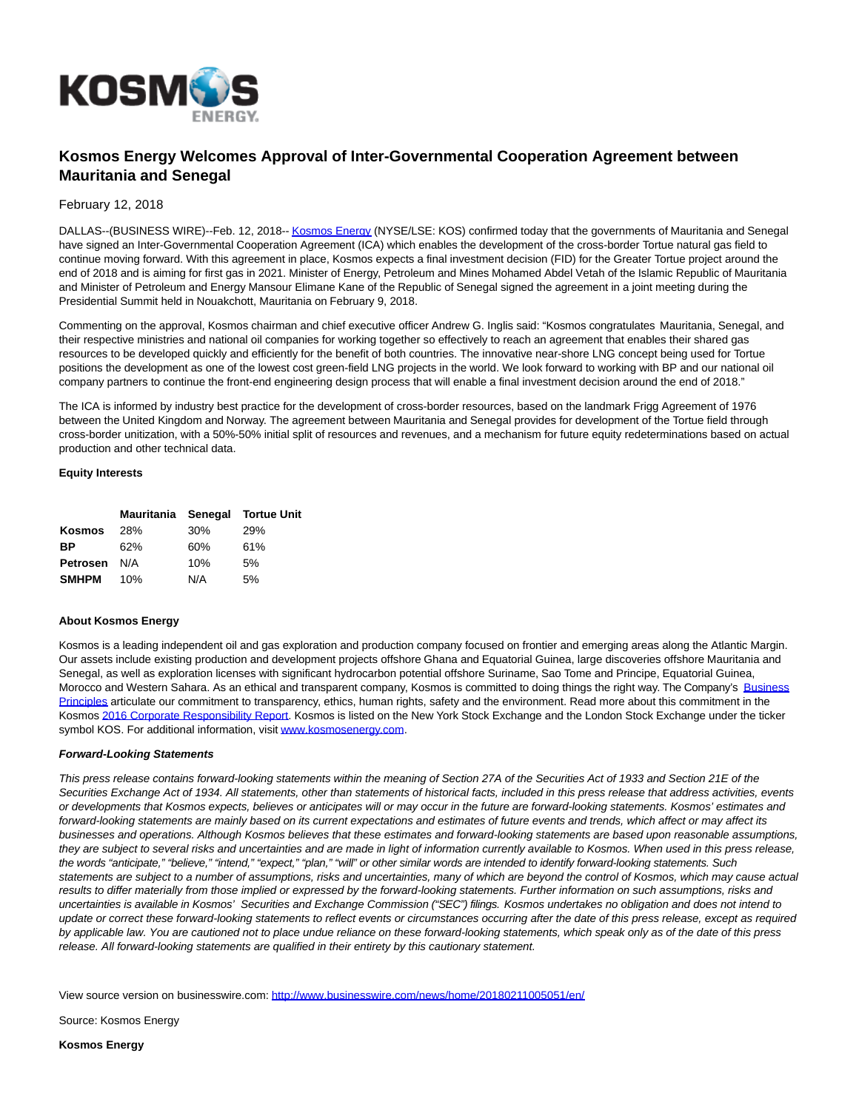

# **Kosmos Energy Welcomes Approval of Inter-Governmental Cooperation Agreement between Mauritania and Senegal**

## February 12, 2018

DALLAS--(BUSINESS WIRE)--Feb. 12, 2018-[- Kosmos Energy \(](http://cts.businesswire.com/ct/CT?id=smartlink&url=http%3A%2F%2Fwww.kosmosenergy.com%2F&esheet=51756805&newsitemid=20180211005051&lan=en-US&anchor=Kosmos+Energy&index=1&md5=1c070443a767d8d964a95942829de1b0)NYSE/LSE: KOS) confirmed today that the governments of Mauritania and Senegal have signed an Inter-Governmental Cooperation Agreement (ICA) which enables the development of the cross-border Tortue natural gas field to continue moving forward. With this agreement in place, Kosmos expects a final investment decision (FID) for the Greater Tortue project around the end of 2018 and is aiming for first gas in 2021. Minister of Energy, Petroleum and Mines Mohamed Abdel Vetah of the Islamic Republic of Mauritania and Minister of Petroleum and Energy Mansour Elimane Kane of the Republic of Senegal signed the agreement in a joint meeting during the Presidential Summit held in Nouakchott, Mauritania on February 9, 2018.

Commenting on the approval, Kosmos chairman and chief executive officer Andrew G. Inglis said: "Kosmos congratulates Mauritania, Senegal, and their respective ministries and national oil companies for working together so effectively to reach an agreement that enables their shared gas resources to be developed quickly and efficiently for the benefit of both countries. The innovative near-shore LNG concept being used for Tortue positions the development as one of the lowest cost green-field LNG projects in the world. We look forward to working with BP and our national oil company partners to continue the front-end engineering design process that will enable a final investment decision around the end of 2018."

The ICA is informed by industry best practice for the development of cross-border resources, based on the landmark Frigg Agreement of 1976 between the United Kingdom and Norway. The agreement between Mauritania and Senegal provides for development of the Tortue field through cross-border unitization, with a 50%-50% initial split of resources and revenues, and a mechanism for future equity redeterminations based on actual production and other technical data.

#### **Equity Interests**

|                 |     |     | Mauritania Senegal Tortue Unit |
|-----------------|-----|-----|--------------------------------|
| Kosmos          | 28% | 30% | <b>29%</b>                     |
| <b>BP</b>       | 62% | 60% | 61%                            |
| <b>Petrosen</b> | N/A | 10% | 5%                             |
| <b>SMHPM</b>    | 10% | N/A | 5%                             |

### **About Kosmos Energy**

Kosmos is a leading independent oil and gas exploration and production company focused on frontier and emerging areas along the Atlantic Margin. Our assets include existing production and development projects offshore Ghana and Equatorial Guinea, large discoveries offshore Mauritania and Senegal, as well as exploration licenses with significant hydrocarbon potential offshore Suriname, Sao Tome and Principe, Equatorial Guinea, Morocco and Western Sahara. As an ethical and transparent company, Kosmos is committed to doing things the right way. The Company's [Business](http://cts.businesswire.com/ct/CT?id=smartlink&url=http%3A%2F%2Fwww.kosmosenergy.com%2Fbusiness-principles%2Findex.html&esheet=51756805&newsitemid=20180211005051&lan=en-US&anchor=Business+Principles&index=2&md5=5e9d387afa0ff08f09b23aaf192af8e8) Principles articulate our commitment to transparency, ethics, human rights, safety and the environment. Read more about this commitment in the Kosmos [2016 Corporate Responsibility Report.](http://cts.businesswire.com/ct/CT?id=smartlink&url=http%3A%2F%2Fwww.kosmosenergy.com%2Fresponsibility%2Freport%2F2015%2F&esheet=51756805&newsitemid=20180211005051&lan=en-US&anchor=2016+Corporate+Responsibility+Report&index=3&md5=34563fcd92756e7f258466f9b9327bf6) Kosmos is listed on the New York Stock Exchange and the London Stock Exchange under the ticker symbol KOS. For additional information, visi[t www.kosmosenergy.com.](http://cts.businesswire.com/ct/CT?id=smartlink&url=http%3A%2F%2Fwww.kosmosenergy.com&esheet=51756805&newsitemid=20180211005051&lan=en-US&anchor=www.kosmosenergy.com&index=4&md5=07bef683c78fe14493bfb9a03346e78a)

### **Forward-Looking Statements**

This press release contains forward-looking statements within the meaning of Section 27A of the Securities Act of 1933 and Section 21E of the Securities Exchange Act of 1934. All statements, other than statements of historical facts, included in this press release that address activities, events or developments that Kosmos expects, believes or anticipates will or may occur in the future are forward-looking statements. Kosmos' estimates and forward-looking statements are mainly based on its current expectations and estimates of future events and trends, which affect or may affect its businesses and operations. Although Kosmos believes that these estimates and forward-looking statements are based upon reasonable assumptions, they are subject to several risks and uncertainties and are made in light of information currently available to Kosmos. When used in this press release, the words "anticipate," "believe," "intend," "expect," "plan," "will" or other similar words are intended to identify forward-looking statements. Such statements are subject to a number of assumptions, risks and uncertainties, many of which are beyond the control of Kosmos, which may cause actual results to differ materially from those implied or expressed by the forward-looking statements. Further information on such assumptions, risks and uncertainties is available in Kosmos' Securities and Exchange Commission ("SEC") filings. Kosmos undertakes no obligation and does not intend to update or correct these forward-looking statements to reflect events or circumstances occurring after the date of this press release, except as required by applicable law. You are cautioned not to place undue reliance on these forward-looking statements, which speak only as of the date of this press release. All forward-looking statements are qualified in their entirety by this cautionary statement.

View source version on businesswire.com:<http://www.businesswire.com/news/home/20180211005051/en/>

Source: Kosmos Energy

**Kosmos Energy**